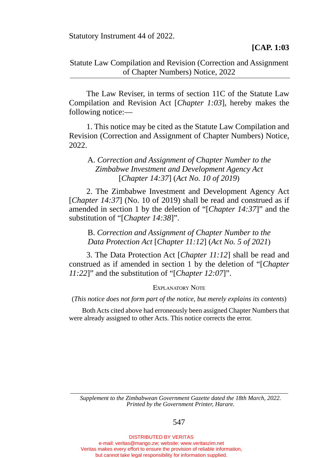Statutory Instrument 44 of 2022.

## Statute Law Compilation and Revision (Correction and Assignment of Chapter Numbers) Notice, 2022

The Law Reviser, in terms of section 11C of the Statute Law Compilation and Revision Act [*Chapter 1:03*], hereby makes the following notice:—

 1. This notice may be cited as the Statute Law Compilation and Revision (Correction and Assignment of Chapter Numbers) Notice, 2022

## A. *Correction and Assignment of Chapter Number to the Zimbabwe Investment and Development Agency Act*  [*Chapter 14:37*] (*Act No. 10 of 2019*)

2. The Zimbabwe Investment and Development Agency Act [*Chapter 14:37*] (No. 10 of 2019) shall be read and construed as if amended in section 1 by the deletion of "[*Chapter 14:37*]" and the substitution of "[*Chapter 14:38*]".

B. *Correction and Assignment of Chapter Number to the Data Protection Act* [*Chapter 11:12*] (*Act No. 5 of 2021*)

 3. The Data Protection Act [*Chapter 11:12*] shall be read and construed as if amended in section 1 by the deletion of "[*Chapter 11:22*]" and the substitution of "[*Chapter 12:07*]".

Explanatory Note

(*This notice does not form part of the notice, but merely explains its contents*)

 Both Acts cited above had erroneously been assigned Chapter Numbers that were already assigned to other Acts. This notice corrects the error.

*Supplement to the Zimbabwean Government Gazette dated the 18th March, 2022. Printed by the Government Printer, Harare.*

547

DISTRIBUTED BY VERITAS e-mail: veritas@mango.zw; website: www.veritaszim.net Veritas makes every effort to ensure the provision of reliable information, but cannot take legal responsibility for information supplied.